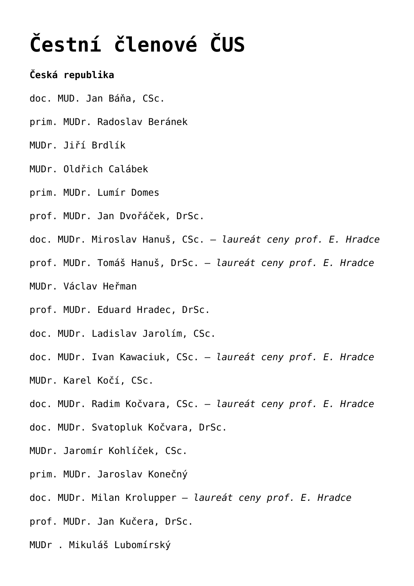## **[Čestní členové ČUS](https://www.cus.cz/pro-odborniky/o-spolecnosti/cestni-clenove-cus/)**

## **Česká republika**

- doc. MUD. Jan Báňa, CSc.
- prim. MUDr. Radoslav Beránek
- MUDr. Jiří Brdlík
- MUDr. Oldřich Calábek
- prim. MUDr. Lumír Domes
- prof. MUDr. Jan Dvořáček, DrSc.
- doc. MUDr. Miroslav Hanuš, CSc. – *laureát ceny prof. E. Hradce*
- prof. MUDr. Tomáš Hanuš, DrSc. *laureát ceny prof. E. Hradce*
- MUDr. Václav Heřman
- prof. MUDr. Eduard Hradec, DrSc.
- doc. MUDr. Ladislav Jarolím, CSc.
- doc. MUDr. Ivan Kawaciuk, CSc. – *laureát ceny prof. E. Hradce*
- MUDr. Karel Kočí, CSc.
- doc. MUDr. Radim Kočvara, CSc. *laureát ceny prof. E. Hradce*
- doc. MUDr. Svatopluk Kočvara, DrSc.
- MUDr. Jaromír Kohlíček, CSc.
- prim. MUDr. Jaroslav Konečný
- doc. MUDr. Milan Krolupper *laureát ceny prof. E. Hradce*
- prof. MUDr. Jan Kučera, DrSc.
- MUDr . Mikuláš Lubomírský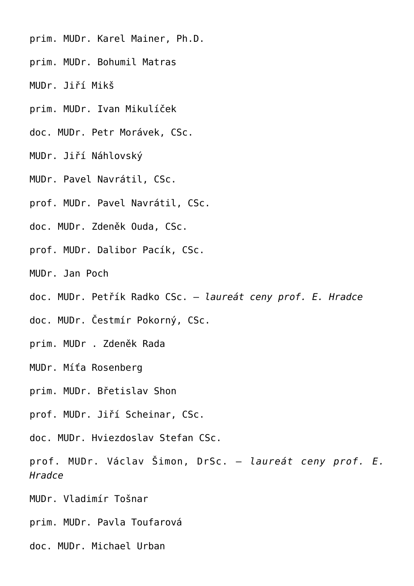- prim. MUDr. Karel Mainer, Ph.D.
- prim. MUDr. Bohumil Matras
- MUDr. Jiří Mikš
- prim. MUDr. Ivan Mikulíček
- doc. MUDr. Petr Morávek, CSc.
- MUDr. Jiří Náhlovský
- MUDr. Pavel Navrátil, CSc.
- prof. MUDr. Pavel Navrátil, CSc.
- doc. MUDr. Zdeněk Ouda, CSc.
- prof. MUDr. Dalibor Pacík, CSc.
- MUDr. Jan Poch
- doc. MUDr. Petřík Radko CSc. *laureát ceny prof. E. Hradce*
- doc. MUDr. Čestmír Pokorný, CSc.
- prim. MUDr . Zdeněk Rada
- MUDr. Míťa Rosenberg
- prim. MUDr. Břetislav Shon
- prof. MUDr. Jiří Scheinar, CSc.
- doc. MUDr. Hviezdoslav Stefan CSc.
- prof. MUDr. Václav Šimon, DrSc. *laureát ceny prof. E. Hradce*
- MUDr. Vladimír Tošnar
- prim. MUDr. Pavla Toufarová
- doc. MUDr. Michael Urban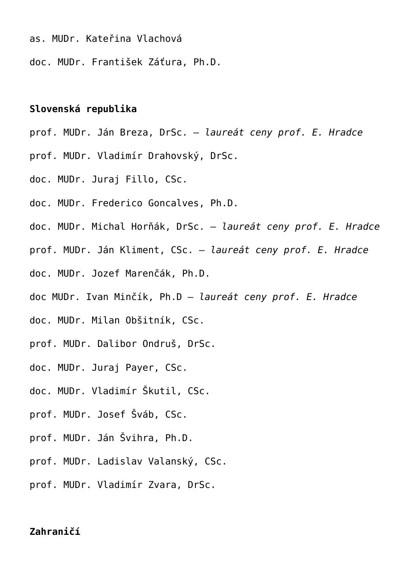- as. MUDr. Kateřina Vlachová
- doc. MUDr. František Záťura, Ph.D.

## **Slovenská republika**

- prof. MUDr. Ján Breza, DrSc. *laureát ceny prof. E. Hradce*
- prof. MUDr. Vladimír Drahovský, DrSc.
- doc. MUDr. Juraj Fillo, CSc.
- doc. MUDr. Frederico Goncalves, Ph.D.
- doc. MUDr. Michal Horňák, DrSc. *laureát ceny prof. E. Hradce*
- prof. MUDr. Ján Kliment, CSc. *laureát ceny prof. E. Hradce*
- doc. MUDr. Jozef Marenčák, Ph.D.
- doc MUDr. Ivan Minčík, Ph.D – *laureát ceny prof. E. Hradce*
- doc. MUDr. Milan Obšitník, CSc.
- prof. MUDr. Dalibor Ondruš, DrSc.
- doc. MUDr. Juraj Payer, CSc.
- doc. MUDr. Vladimír Škutil, CSc.
- prof. MUDr. Josef Šváb, CSc.
- prof. MUDr. Ján Švihra, Ph.D.
- prof. MUDr. Ladislav Valanský, CSc.
- prof. MUDr. Vladimír Zvara, DrSc.

## **Zahraničí**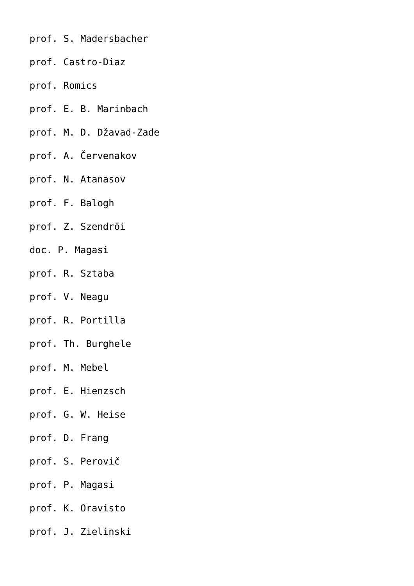- prof. S. Madersbacher
- prof. Castro-Diaz
- prof. Romics
- prof. E. B. Marinbach
- prof. M. D. Džavad-Zade
- prof. A. Červenakov
- prof. N. Atanasov
- prof. F. Balogh
- prof. Z. Szendröi
- doc. P. Magasi
- prof. R. Sztaba
- prof. V. Neagu
- prof. R. Portilla
- prof. Th. Burghele
- prof. M. Mebel
- prof. E. Hienzsch
- prof. G. W. Heise
- prof. D. Frang
- prof. S. Perovič
- prof. P. Magasi
- prof. K. Oravisto
- prof. J. Zielinski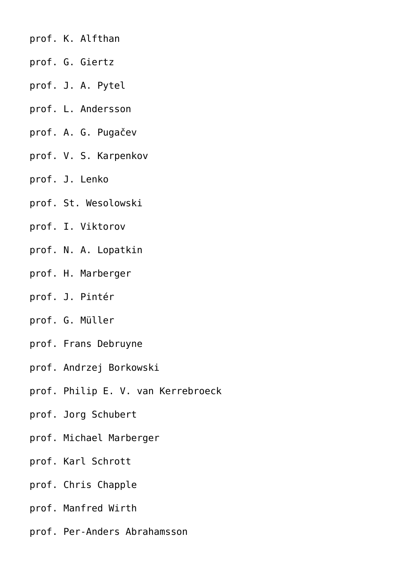- prof. K. Alfthan
- prof. G. Giertz
- prof. J. A. Pytel
- prof. L. Andersson
- prof. A. G. Pugačev
- prof. V. S. Karpenkov
- prof. J. Lenko
- prof. St. Wesolowski
- prof. I. Viktorov
- prof. N. A. Lopatkin
- prof. H. Marberger
- prof. J. Pintér
- prof. G. Müller
- prof. Frans Debruyne
- prof. Andrzej Borkowski
- prof. Philip E. V. van Kerrebroeck
- prof. Jorg Schubert
- prof. Michael Marberger
- prof. Karl Schrott
- prof. Chris Chapple
- prof. Manfred Wirth
- prof. Per-Anders Abrahamsson